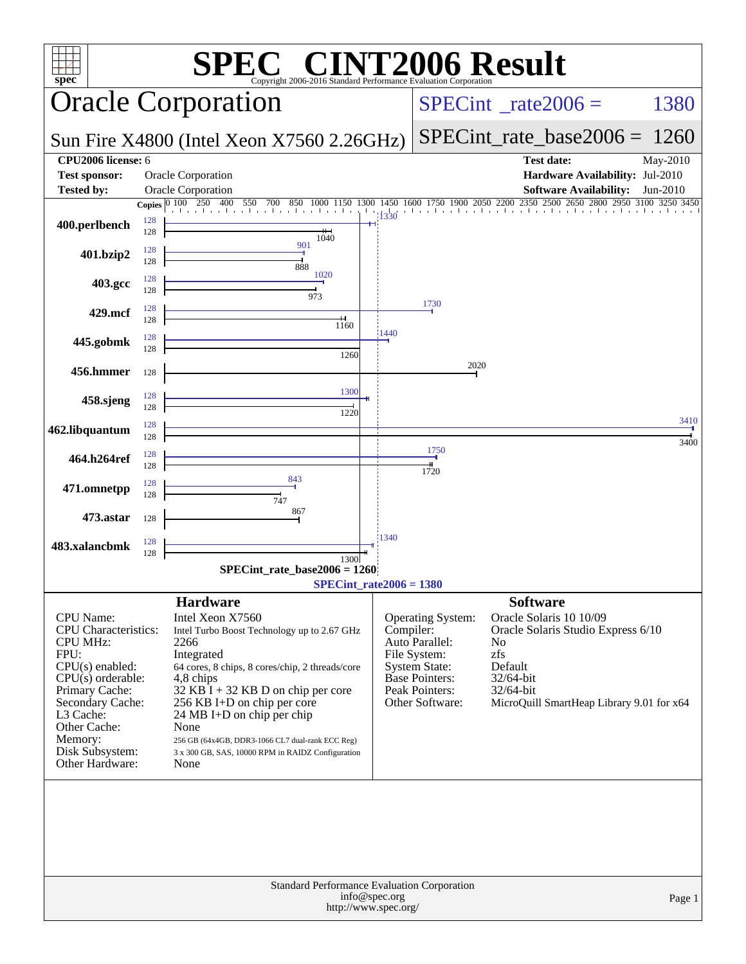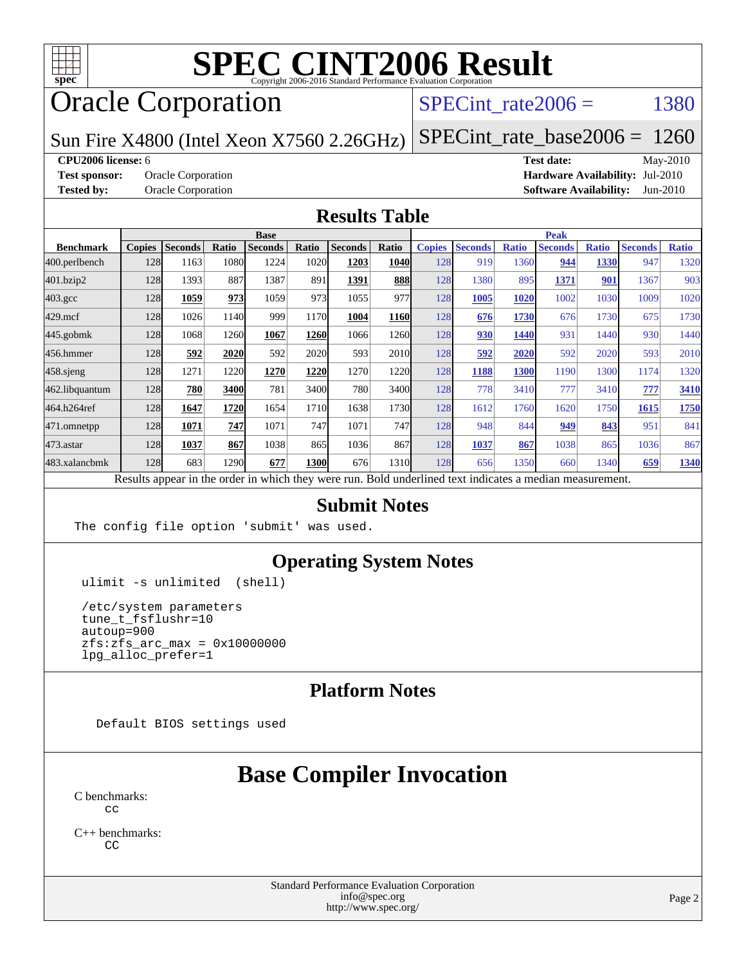

# Oracle Corporation

## SPECint rate $2006 =$  1380

Sun Fire X4800 (Intel Xeon X7560 2.26GHz)

[SPECint\\_rate\\_base2006 =](http://www.spec.org/auto/cpu2006/Docs/result-fields.html#SPECintratebase2006) 1260

#### **[CPU2006 license:](http://www.spec.org/auto/cpu2006/Docs/result-fields.html#CPU2006license)** 6 **[Test date:](http://www.spec.org/auto/cpu2006/Docs/result-fields.html#Testdate)** May-2010

**[Test sponsor:](http://www.spec.org/auto/cpu2006/Docs/result-fields.html#Testsponsor)** Oracle Corporation **[Hardware Availability:](http://www.spec.org/auto/cpu2006/Docs/result-fields.html#HardwareAvailability)** Jul-2010 **[Tested by:](http://www.spec.org/auto/cpu2006/Docs/result-fields.html#Testedby)** Oracle Corporation **[Software Availability:](http://www.spec.org/auto/cpu2006/Docs/result-fields.html#SoftwareAvailability)** Jun-2010

#### **[Results Table](http://www.spec.org/auto/cpu2006/Docs/result-fields.html#ResultsTable)**

|                  | <b>Base</b>   |                |       |                |             |                                                                                                          |                   | <b>Peak</b>   |                |              |                |              |                |              |
|------------------|---------------|----------------|-------|----------------|-------------|----------------------------------------------------------------------------------------------------------|-------------------|---------------|----------------|--------------|----------------|--------------|----------------|--------------|
| <b>Benchmark</b> | <b>Copies</b> | <b>Seconds</b> | Ratio | <b>Seconds</b> | Ratio       | <b>Seconds</b>                                                                                           | Ratio             | <b>Copies</b> | <b>Seconds</b> | <b>Ratio</b> | <b>Seconds</b> | <b>Ratio</b> | <b>Seconds</b> | <b>Ratio</b> |
| 400.perlbench    | 128           | 1163           | 1080  | 1224           | 1020        | 1203                                                                                                     | 1040              | 128           | 919            | 1360         | 944            | 1330         | 947            | 1320         |
| 401.bzip2        | 128           | 1393           | 887   | 1387           | 891         | 1391                                                                                                     | 888               | 128           | 1380           | 895          | 1371           | 901          | 1367           | 903          |
| $403.\text{gcc}$ | 128           | 1059           | 973   | 1059           | 973         | 1055                                                                                                     | 977               | 128           | 1005           | 1020         | 1002           | 1030         | 1009           | 1020         |
| $429$ .mcf       | 128           | 1026           | 1140  | 999            | 1170        | 1004                                                                                                     | 1160              | 128           | 676            | 1730         | 676            | 1730         | 675            | 1730         |
| $445$ .gobm $k$  | 128           | 1068           | 1260  | 1067           | 1260        | 1066                                                                                                     | 1260              | 128           | 930            | 1440         | 931            | 1440         | 930            | 1440         |
| 456.hmmer        | 128           | 592            | 2020  | 592            | 2020        | 593                                                                                                      | 2010 <sub>l</sub> | 128           | 592            | 2020         | 592            | 2020         | 593            | 2010         |
| $458$ .sjeng     | 128           | 1271           | 1220  | 1270           | 1220        | 1270                                                                                                     | 1220              | 128           | 1188           | 1300         | 1190           | 1300         | 1174           | 1320         |
| 462.libquantum   | 128           | 780            | 3400  | 781            | 3400        | 780                                                                                                      | 3400              | 128           | 778            | 3410         | 777            | 3410         | 777            | 3410         |
| 464.h264ref      | 128           | 1647           | 1720  | 1654           | 1710        | 1638                                                                                                     | 1730              | 128           | 1612           | 1760         | 1620           | 1750         | 1615           | 1750         |
| 471.omnetpp      | 128           | 1071           | 747   | 1071           | 747         | 1071                                                                                                     | 747               | 128           | 948            | 844          | 949            | 843          | 951            | 841          |
| $473$ . astar    | 128           | 1037           | 867   | 1038           | 865         | 1036                                                                                                     | 867               | 128           | 1037           | 867          | 1038           | 865          | 1036           | 867          |
| 483.xalancbmk    | 128           | 683            | 1290  | 677            | <b>1300</b> | 676                                                                                                      | 1310              | 128           | 656            | 1350         | 660            | 1340         | 659            | 1340         |
|                  |               |                |       |                |             | Results appear in the order in which they were run. Bold underlined text indicates a median measurement. |                   |               |                |              |                |              |                |              |

#### **[Submit Notes](http://www.spec.org/auto/cpu2006/Docs/result-fields.html#SubmitNotes)**

The config file option 'submit' was used.

### **[Operating System Notes](http://www.spec.org/auto/cpu2006/Docs/result-fields.html#OperatingSystemNotes)**

ulimit -s unlimited (shell)

 /etc/system parameters tune\_t\_fsflushr=10 autoup=900 zfs:zfs\_arc\_max = 0x10000000 lpg\_alloc\_prefer=1

### **[Platform Notes](http://www.spec.org/auto/cpu2006/Docs/result-fields.html#PlatformNotes)**

Default BIOS settings used

# **[Base Compiler Invocation](http://www.spec.org/auto/cpu2006/Docs/result-fields.html#BaseCompilerInvocation)**

[C benchmarks](http://www.spec.org/auto/cpu2006/Docs/result-fields.html#Cbenchmarks):  $C<sub>c</sub>$ 

[C++ benchmarks:](http://www.spec.org/auto/cpu2006/Docs/result-fields.html#CXXbenchmarks) [CC](http://www.spec.org/cpu2006/results/res2010q3/cpu2006-20100620-11760.flags.html#user_CXXbase_sun_CC)

> Standard Performance Evaluation Corporation [info@spec.org](mailto:info@spec.org) <http://www.spec.org/>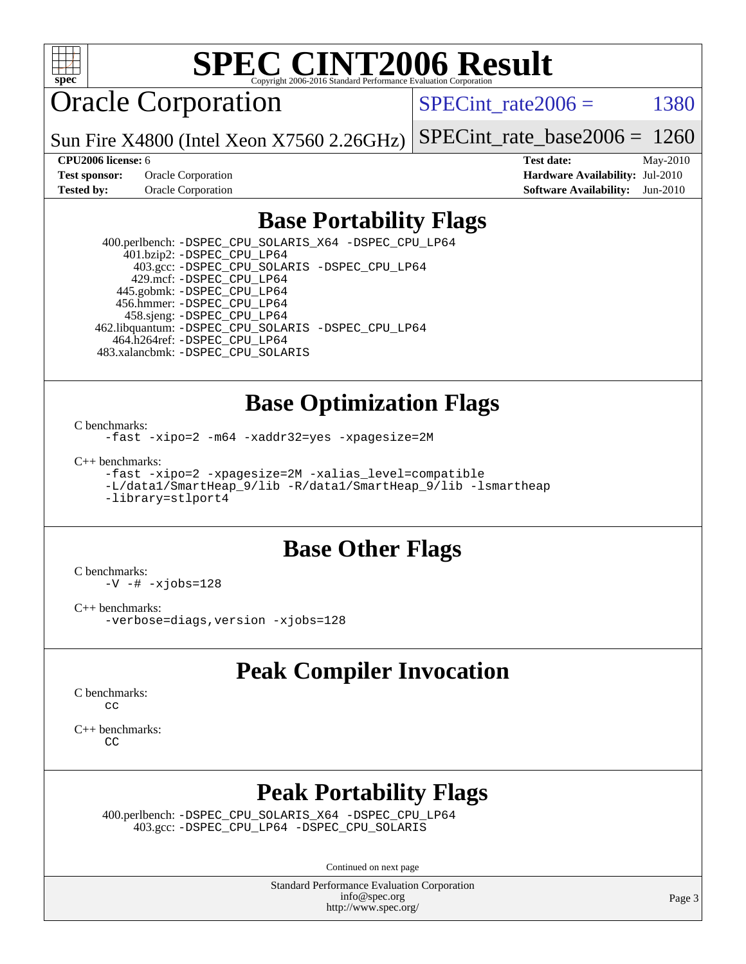

Oracle Corporation

SPECint rate $2006 = 1380$ 

Sun Fire X4800 (Intel Xeon X7560 2.26GHz) [SPECint\\_rate\\_base2006 =](http://www.spec.org/auto/cpu2006/Docs/result-fields.html#SPECintratebase2006) 1260

**[Test sponsor:](http://www.spec.org/auto/cpu2006/Docs/result-fields.html#Testsponsor)** Oracle Corporation **[Hardware Availability:](http://www.spec.org/auto/cpu2006/Docs/result-fields.html#HardwareAvailability)** Jul-2010

**[CPU2006 license:](http://www.spec.org/auto/cpu2006/Docs/result-fields.html#CPU2006license)** 6 **[Test date:](http://www.spec.org/auto/cpu2006/Docs/result-fields.html#Testdate)** May-2010 **[Tested by:](http://www.spec.org/auto/cpu2006/Docs/result-fields.html#Testedby)** Oracle Corporation **[Software Availability:](http://www.spec.org/auto/cpu2006/Docs/result-fields.html#SoftwareAvailability)** Jun-2010

## **[Base Portability Flags](http://www.spec.org/auto/cpu2006/Docs/result-fields.html#BasePortabilityFlags)**

 400.perlbench: [-DSPEC\\_CPU\\_SOLARIS\\_X64](http://www.spec.org/cpu2006/results/res2010q3/cpu2006-20100620-11760.flags.html#b400.perlbench_baseCPORTABILITY_DSPEC_CPU_SOLARIS_X64) [-DSPEC\\_CPU\\_LP64](http://www.spec.org/cpu2006/results/res2010q3/cpu2006-20100620-11760.flags.html#b400.perlbench_baseEXTRA_CPORTABILITY_DSPEC_CPU_LP64)  $401.bzip2: -DSPEC_CPULP64$  403.gcc: [-DSPEC\\_CPU\\_SOLARIS](http://www.spec.org/cpu2006/results/res2010q3/cpu2006-20100620-11760.flags.html#b403.gcc_baseCPORTABILITY_DSPEC_CPU_SOLARIS) [-DSPEC\\_CPU\\_LP64](http://www.spec.org/cpu2006/results/res2010q3/cpu2006-20100620-11760.flags.html#suite_baseEXTRA_CPORTABILITY403_gcc_DSPEC_CPU_LP64) 429.mcf: [-DSPEC\\_CPU\\_LP64](http://www.spec.org/cpu2006/results/res2010q3/cpu2006-20100620-11760.flags.html#suite_baseEXTRA_CPORTABILITY429_mcf_DSPEC_CPU_LP64) 445.gobmk: [-DSPEC\\_CPU\\_LP64](http://www.spec.org/cpu2006/results/res2010q3/cpu2006-20100620-11760.flags.html#suite_baseEXTRA_CPORTABILITY445_gobmk_DSPEC_CPU_LP64) 456.hmmer: [-DSPEC\\_CPU\\_LP64](http://www.spec.org/cpu2006/results/res2010q3/cpu2006-20100620-11760.flags.html#suite_baseEXTRA_CPORTABILITY456_hmmer_DSPEC_CPU_LP64) 458.sjeng: [-DSPEC\\_CPU\\_LP64](http://www.spec.org/cpu2006/results/res2010q3/cpu2006-20100620-11760.flags.html#suite_baseEXTRA_CPORTABILITY458_sjeng_DSPEC_CPU_LP64) 462.libquantum: [-DSPEC\\_CPU\\_SOLARIS](http://www.spec.org/cpu2006/results/res2010q3/cpu2006-20100620-11760.flags.html#b462.libquantum_baseCPORTABILITY_DSPEC_CPU_SOLARIS) [-DSPEC\\_CPU\\_LP64](http://www.spec.org/cpu2006/results/res2010q3/cpu2006-20100620-11760.flags.html#suite_baseEXTRA_CPORTABILITY462_libquantum_DSPEC_CPU_LP64) 464.h264ref: [-DSPEC\\_CPU\\_LP64](http://www.spec.org/cpu2006/results/res2010q3/cpu2006-20100620-11760.flags.html#suite_baseEXTRA_CPORTABILITY464_h264ref_DSPEC_CPU_LP64) 483.xalancbmk: [-DSPEC\\_CPU\\_SOLARIS](http://www.spec.org/cpu2006/results/res2010q3/cpu2006-20100620-11760.flags.html#b483.xalancbmk_baseCXXPORTABILITY_DSPEC_CPU_SOLARIS)

### **[Base Optimization Flags](http://www.spec.org/auto/cpu2006/Docs/result-fields.html#BaseOptimizationFlags)**

[C benchmarks](http://www.spec.org/auto/cpu2006/Docs/result-fields.html#Cbenchmarks):

[-fast](http://www.spec.org/cpu2006/results/res2010q3/cpu2006-20100620-11760.flags.html#user_CCbase_fast_cc) [-xipo=2](http://www.spec.org/cpu2006/results/res2010q3/cpu2006-20100620-11760.flags.html#user_CCbase_xipo_5e3708e8f61bc7c7cade0f8c4dada1db) [-m64](http://www.spec.org/cpu2006/results/res2010q3/cpu2006-20100620-11760.flags.html#user_CCbase_F-m64) [-xaddr32=yes](http://www.spec.org/cpu2006/results/res2010q3/cpu2006-20100620-11760.flags.html#user_CCbase_xaddr32) [-xpagesize=2M](http://www.spec.org/cpu2006/results/res2010q3/cpu2006-20100620-11760.flags.html#user_CCbase_xpagesize_f50b67cca4ef3b24ae5e9aaf0af70b7e)

[C++ benchmarks:](http://www.spec.org/auto/cpu2006/Docs/result-fields.html#CXXbenchmarks)

[-fast](http://www.spec.org/cpu2006/results/res2010q3/cpu2006-20100620-11760.flags.html#user_CXXbase_fast_CC) [-xipo=2](http://www.spec.org/cpu2006/results/res2010q3/cpu2006-20100620-11760.flags.html#user_CXXbase_xipo_5e3708e8f61bc7c7cade0f8c4dada1db) [-xpagesize=2M](http://www.spec.org/cpu2006/results/res2010q3/cpu2006-20100620-11760.flags.html#user_CXXbase_xpagesize_f50b67cca4ef3b24ae5e9aaf0af70b7e) [-xalias\\_level=compatible](http://www.spec.org/cpu2006/results/res2010q3/cpu2006-20100620-11760.flags.html#user_CXXbase_xalias_level_CC_96f159d8d9a7543292667cc08592323e) [-L/data1/SmartHeap\\_9/lib -R/data1/SmartHeap\\_9/lib -lsmartheap](http://www.spec.org/cpu2006/results/res2010q3/cpu2006-20100620-11760.flags.html#user_CXXbase_F-Lsmartheap) [-library=stlport4](http://www.spec.org/cpu2006/results/res2010q3/cpu2006-20100620-11760.flags.html#user_CXXbase_F-lstlport4_b8e913805c6afc3a45e676d2e2070a28)

## **[Base Other Flags](http://www.spec.org/auto/cpu2006/Docs/result-fields.html#BaseOtherFlags)**

[C benchmarks](http://www.spec.org/auto/cpu2006/Docs/result-fields.html#Cbenchmarks):

 $-V - # -xjobs=128$  $-V - # -xjobs=128$  $-V - # -xjobs=128$ 

[C++ benchmarks:](http://www.spec.org/auto/cpu2006/Docs/result-fields.html#CXXbenchmarks)

[-verbose=diags,version](http://www.spec.org/cpu2006/results/res2010q3/cpu2006-20100620-11760.flags.html#user_CXXbase_verbose_CC) [-xjobs=128](http://www.spec.org/cpu2006/results/res2010q3/cpu2006-20100620-11760.flags.html#user_CXXbase_xjobs_0b84bbb8a4c8b428526194c4f701f4dc)

## **[Peak Compiler Invocation](http://www.spec.org/auto/cpu2006/Docs/result-fields.html#PeakCompilerInvocation)**

[C benchmarks](http://www.spec.org/auto/cpu2006/Docs/result-fields.html#Cbenchmarks): [cc](http://www.spec.org/cpu2006/results/res2010q3/cpu2006-20100620-11760.flags.html#user_CCpeak_sun_cc)

[C++ benchmarks:](http://www.spec.org/auto/cpu2006/Docs/result-fields.html#CXXbenchmarks) [CC](http://www.spec.org/cpu2006/results/res2010q3/cpu2006-20100620-11760.flags.html#user_CXXpeak_sun_CC)

# **[Peak Portability Flags](http://www.spec.org/auto/cpu2006/Docs/result-fields.html#PeakPortabilityFlags)**

 400.perlbench: [-DSPEC\\_CPU\\_SOLARIS\\_X64](http://www.spec.org/cpu2006/results/res2010q3/cpu2006-20100620-11760.flags.html#b400.perlbench_peakCPORTABILITY_DSPEC_CPU_SOLARIS_X64) [-DSPEC\\_CPU\\_LP64](http://www.spec.org/cpu2006/results/res2010q3/cpu2006-20100620-11760.flags.html#b400.perlbench_peakCPORTABILITY_DSPEC_CPU_LP64) 403.gcc: [-DSPEC\\_CPU\\_LP64](http://www.spec.org/cpu2006/results/res2010q3/cpu2006-20100620-11760.flags.html#suite_peakPORTABILITY403_gcc_DSPEC_CPU_LP64) [-DSPEC\\_CPU\\_SOLARIS](http://www.spec.org/cpu2006/results/res2010q3/cpu2006-20100620-11760.flags.html#b403.gcc_peakCPORTABILITY_DSPEC_CPU_SOLARIS)

Continued on next page

Standard Performance Evaluation Corporation [info@spec.org](mailto:info@spec.org) <http://www.spec.org/>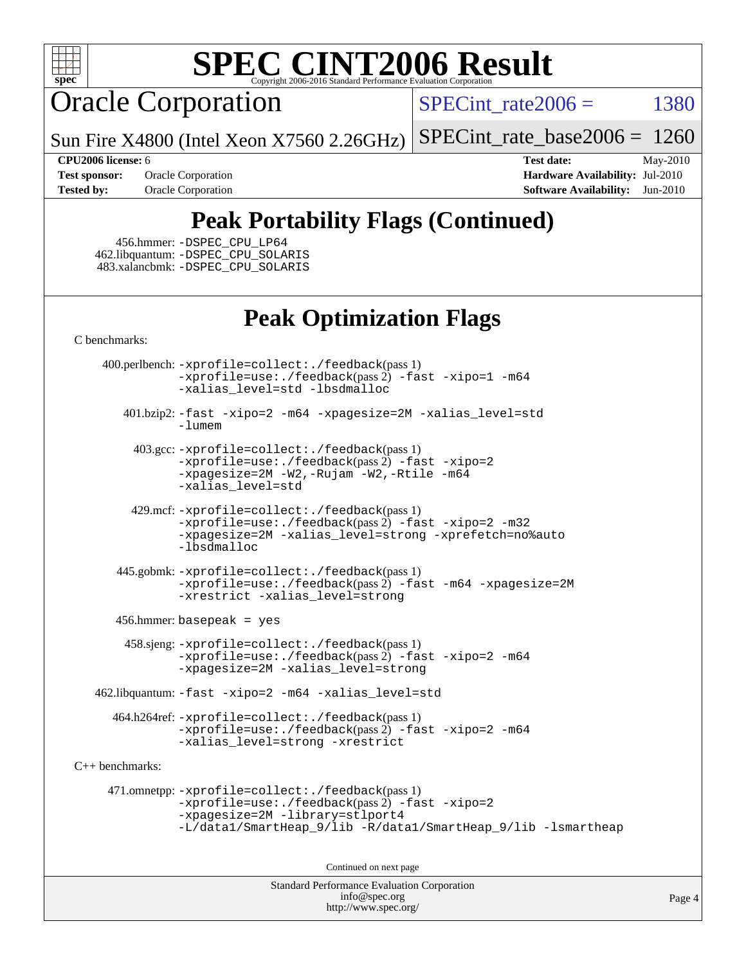

Oracle Corporation

SPECint rate  $2006 = 1380$ 

Sun Fire X4800 (Intel Xeon X7560 2.26GHz) [SPECint\\_rate\\_base2006 =](http://www.spec.org/auto/cpu2006/Docs/result-fields.html#SPECintratebase2006) 1260

**[CPU2006 license:](http://www.spec.org/auto/cpu2006/Docs/result-fields.html#CPU2006license)** 6 **[Test date:](http://www.spec.org/auto/cpu2006/Docs/result-fields.html#Testdate)** May-2010 **[Test sponsor:](http://www.spec.org/auto/cpu2006/Docs/result-fields.html#Testsponsor)** Oracle Corporation **[Hardware Availability:](http://www.spec.org/auto/cpu2006/Docs/result-fields.html#HardwareAvailability)** Jul-2010 **[Tested by:](http://www.spec.org/auto/cpu2006/Docs/result-fields.html#Testedby)** Oracle Corporation **[Software Availability:](http://www.spec.org/auto/cpu2006/Docs/result-fields.html#SoftwareAvailability)** Jun-2010

# **[Peak Portability Flags \(Continued\)](http://www.spec.org/auto/cpu2006/Docs/result-fields.html#PeakPortabilityFlags)**

 456.hmmer: [-DSPEC\\_CPU\\_LP64](http://www.spec.org/cpu2006/results/res2010q3/cpu2006-20100620-11760.flags.html#suite_peakEXTRA_CPORTABILITY456_hmmer_DSPEC_CPU_LP64) 462.libquantum: [-DSPEC\\_CPU\\_SOLARIS](http://www.spec.org/cpu2006/results/res2010q3/cpu2006-20100620-11760.flags.html#b462.libquantum_peakCPORTABILITY_DSPEC_CPU_SOLARIS) 483.xalancbmk: [-DSPEC\\_CPU\\_SOLARIS](http://www.spec.org/cpu2006/results/res2010q3/cpu2006-20100620-11760.flags.html#b483.xalancbmk_peakCXXPORTABILITY_DSPEC_CPU_SOLARIS)

# **[Peak Optimization Flags](http://www.spec.org/auto/cpu2006/Docs/result-fields.html#PeakOptimizationFlags)**

[C benchmarks](http://www.spec.org/auto/cpu2006/Docs/result-fields.html#Cbenchmarks):

 400.perlbench: [-xprofile=collect:./feedback](http://www.spec.org/cpu2006/results/res2010q3/cpu2006-20100620-11760.flags.html#user_peakPASS1_CFLAGSPASS1_LDFLAGS400_perlbench_xprofile_collect_eb7600ff49c156e08b79eda146723f7d)(pass 1) [-xprofile=use:./feedback](http://www.spec.org/cpu2006/results/res2010q3/cpu2006-20100620-11760.flags.html#user_peakPASS2_CFLAGSPASS2_LDFLAGS400_perlbench_xprofile_use_2c7da09021590254e061b7043891e3f2)(pass 2) [-fast](http://www.spec.org/cpu2006/results/res2010q3/cpu2006-20100620-11760.flags.html#user_peakOPTIMIZE400_perlbench_fast_cc) [-xipo=1](http://www.spec.org/cpu2006/results/res2010q3/cpu2006-20100620-11760.flags.html#user_peakOPTIMIZE400_perlbench_xipo_244aeef1b109ad561a752b1a22d45e94) [-m64](http://www.spec.org/cpu2006/results/res2010q3/cpu2006-20100620-11760.flags.html#user_peakOPTIMIZE400_perlbench_F-m64) [-xalias\\_level=std](http://www.spec.org/cpu2006/results/res2010q3/cpu2006-20100620-11760.flags.html#user_peakOPTIMIZE400_perlbench_xalias_level_cc_ed12b6aa9cc1ccf9ee8329664a2d2066) [-lbsdmalloc](http://www.spec.org/cpu2006/results/res2010q3/cpu2006-20100620-11760.flags.html#user_peakEXTRA_LIBS400_perlbench_F-lbsdmalloc)

 401.bzip2: [-fast](http://www.spec.org/cpu2006/results/res2010q3/cpu2006-20100620-11760.flags.html#user_peakOPTIMIZE401_bzip2_fast_cc) [-xipo=2](http://www.spec.org/cpu2006/results/res2010q3/cpu2006-20100620-11760.flags.html#user_peakOPTIMIZE401_bzip2_xipo_5e3708e8f61bc7c7cade0f8c4dada1db) [-m64](http://www.spec.org/cpu2006/results/res2010q3/cpu2006-20100620-11760.flags.html#user_peakOPTIMIZE401_bzip2_F-m64) [-xpagesize=2M](http://www.spec.org/cpu2006/results/res2010q3/cpu2006-20100620-11760.flags.html#user_peakOPTIMIZE401_bzip2_xpagesize_f50b67cca4ef3b24ae5e9aaf0af70b7e) [-xalias\\_level=std](http://www.spec.org/cpu2006/results/res2010q3/cpu2006-20100620-11760.flags.html#user_peakOPTIMIZE401_bzip2_xalias_level_cc_ed12b6aa9cc1ccf9ee8329664a2d2066) [-lumem](http://www.spec.org/cpu2006/results/res2010q3/cpu2006-20100620-11760.flags.html#user_peakEXTRA_LIBS401_bzip2_F-lumem)

 403.gcc: [-xprofile=collect:./feedback](http://www.spec.org/cpu2006/results/res2010q3/cpu2006-20100620-11760.flags.html#user_peakPASS1_CFLAGSPASS1_LDFLAGS403_gcc_xprofile_collect_eb7600ff49c156e08b79eda146723f7d)(pass 1) [-xprofile=use:./feedback](http://www.spec.org/cpu2006/results/res2010q3/cpu2006-20100620-11760.flags.html#user_peakPASS2_CFLAGSPASS2_LDFLAGS403_gcc_xprofile_use_2c7da09021590254e061b7043891e3f2)(pass 2) [-fast](http://www.spec.org/cpu2006/results/res2010q3/cpu2006-20100620-11760.flags.html#user_peakOPTIMIZE403_gcc_fast_cc) [-xipo=2](http://www.spec.org/cpu2006/results/res2010q3/cpu2006-20100620-11760.flags.html#user_peakOPTIMIZE403_gcc_xipo_5e3708e8f61bc7c7cade0f8c4dada1db) [-xpagesize=2M](http://www.spec.org/cpu2006/results/res2010q3/cpu2006-20100620-11760.flags.html#user_peakOPTIMIZE403_gcc_xpagesize_f50b67cca4ef3b24ae5e9aaf0af70b7e) [-W2,-Rujam](http://www.spec.org/cpu2006/results/res2010q3/cpu2006-20100620-11760.flags.html#user_peakCOPTIMIZE403_gcc_Rujam_bd0a3be023a85ea10a1f4d32007e195f) [-W2,-Rtile](http://www.spec.org/cpu2006/results/res2010q3/cpu2006-20100620-11760.flags.html#user_peakCOPTIMIZE403_gcc_Rtile_b376e3968d2912a65330994d7bfe5528) [-m64](http://www.spec.org/cpu2006/results/res2010q3/cpu2006-20100620-11760.flags.html#user_peakCOPTIMIZE403_gcc_F-m64) [-xalias\\_level=std](http://www.spec.org/cpu2006/results/res2010q3/cpu2006-20100620-11760.flags.html#user_peakCOPTIMIZE403_gcc_xalias_level_cc_ed12b6aa9cc1ccf9ee8329664a2d2066)

 429.mcf: [-xprofile=collect:./feedback](http://www.spec.org/cpu2006/results/res2010q3/cpu2006-20100620-11760.flags.html#user_peakPASS1_CFLAGSPASS1_LDFLAGS429_mcf_xprofile_collect_eb7600ff49c156e08b79eda146723f7d)(pass 1) [-xprofile=use:./feedback](http://www.spec.org/cpu2006/results/res2010q3/cpu2006-20100620-11760.flags.html#user_peakPASS2_CFLAGSPASS2_LDFLAGS429_mcf_xprofile_use_2c7da09021590254e061b7043891e3f2)(pass 2) [-fast](http://www.spec.org/cpu2006/results/res2010q3/cpu2006-20100620-11760.flags.html#user_peakOPTIMIZE429_mcf_fast_cc) [-xipo=2](http://www.spec.org/cpu2006/results/res2010q3/cpu2006-20100620-11760.flags.html#user_peakOPTIMIZE429_mcf_xipo_5e3708e8f61bc7c7cade0f8c4dada1db) [-m32](http://www.spec.org/cpu2006/results/res2010q3/cpu2006-20100620-11760.flags.html#user_peakOPTIMIZE429_mcf_F-m32) [-xpagesize=2M](http://www.spec.org/cpu2006/results/res2010q3/cpu2006-20100620-11760.flags.html#user_peakOPTIMIZE429_mcf_xpagesize_f50b67cca4ef3b24ae5e9aaf0af70b7e) [-xalias\\_level=strong](http://www.spec.org/cpu2006/results/res2010q3/cpu2006-20100620-11760.flags.html#user_peakOPTIMIZE429_mcf_xalias_level_cc_55f5e21d5175f1806f53f2825faa86c9) [-xprefetch=no%auto](http://www.spec.org/cpu2006/results/res2010q3/cpu2006-20100620-11760.flags.html#user_peakOPTIMIZE429_mcf_xprefetch_aadf369b144f677b141e4051b7b2a0c9) [-lbsdmalloc](http://www.spec.org/cpu2006/results/res2010q3/cpu2006-20100620-11760.flags.html#user_peakEXTRA_LIBS429_mcf_F-lbsdmalloc)

 445.gobmk: [-xprofile=collect:./feedback](http://www.spec.org/cpu2006/results/res2010q3/cpu2006-20100620-11760.flags.html#user_peakPASS1_CFLAGSPASS1_LDFLAGS445_gobmk_xprofile_collect_eb7600ff49c156e08b79eda146723f7d)(pass 1) [-xprofile=use:./feedback](http://www.spec.org/cpu2006/results/res2010q3/cpu2006-20100620-11760.flags.html#user_peakPASS2_CFLAGSPASS2_LDFLAGS445_gobmk_xprofile_use_2c7da09021590254e061b7043891e3f2)(pass 2) [-fast](http://www.spec.org/cpu2006/results/res2010q3/cpu2006-20100620-11760.flags.html#user_peakOPTIMIZE445_gobmk_fast_cc) [-m64](http://www.spec.org/cpu2006/results/res2010q3/cpu2006-20100620-11760.flags.html#user_peakOPTIMIZE445_gobmk_F-m64) [-xpagesize=2M](http://www.spec.org/cpu2006/results/res2010q3/cpu2006-20100620-11760.flags.html#user_peakOPTIMIZE445_gobmk_xpagesize_f50b67cca4ef3b24ae5e9aaf0af70b7e) [-xrestrict](http://www.spec.org/cpu2006/results/res2010q3/cpu2006-20100620-11760.flags.html#user_peakOPTIMIZE445_gobmk_F-xrestrict) [-xalias\\_level=strong](http://www.spec.org/cpu2006/results/res2010q3/cpu2006-20100620-11760.flags.html#user_peakOPTIMIZE445_gobmk_xalias_level_cc_55f5e21d5175f1806f53f2825faa86c9)

456.hmmer: basepeak = yes

 458.sjeng: [-xprofile=collect:./feedback](http://www.spec.org/cpu2006/results/res2010q3/cpu2006-20100620-11760.flags.html#user_peakPASS1_CFLAGSPASS1_LDFLAGS458_sjeng_xprofile_collect_eb7600ff49c156e08b79eda146723f7d)(pass 1) [-xprofile=use:./feedback](http://www.spec.org/cpu2006/results/res2010q3/cpu2006-20100620-11760.flags.html#user_peakPASS2_CFLAGSPASS2_LDFLAGS458_sjeng_xprofile_use_2c7da09021590254e061b7043891e3f2)(pass 2) [-fast](http://www.spec.org/cpu2006/results/res2010q3/cpu2006-20100620-11760.flags.html#user_peakOPTIMIZE458_sjeng_fast_cc) [-xipo=2](http://www.spec.org/cpu2006/results/res2010q3/cpu2006-20100620-11760.flags.html#user_peakOPTIMIZE458_sjeng_xipo_5e3708e8f61bc7c7cade0f8c4dada1db) [-m64](http://www.spec.org/cpu2006/results/res2010q3/cpu2006-20100620-11760.flags.html#user_peakOPTIMIZE458_sjeng_F-m64) [-xpagesize=2M](http://www.spec.org/cpu2006/results/res2010q3/cpu2006-20100620-11760.flags.html#user_peakOPTIMIZE458_sjeng_xpagesize_f50b67cca4ef3b24ae5e9aaf0af70b7e) [-xalias\\_level=strong](http://www.spec.org/cpu2006/results/res2010q3/cpu2006-20100620-11760.flags.html#user_peakOPTIMIZE458_sjeng_xalias_level_cc_55f5e21d5175f1806f53f2825faa86c9)

462.libquantum: [-fast](http://www.spec.org/cpu2006/results/res2010q3/cpu2006-20100620-11760.flags.html#user_peakOPTIMIZE462_libquantum_fast_cc) [-xipo=2](http://www.spec.org/cpu2006/results/res2010q3/cpu2006-20100620-11760.flags.html#user_peakOPTIMIZE462_libquantum_xipo_5e3708e8f61bc7c7cade0f8c4dada1db) [-m64](http://www.spec.org/cpu2006/results/res2010q3/cpu2006-20100620-11760.flags.html#user_peakOPTIMIZE462_libquantum_F-m64) [-xalias\\_level=std](http://www.spec.org/cpu2006/results/res2010q3/cpu2006-20100620-11760.flags.html#user_peakEXTRA_OPTIMIZE462_libquantum_xalias_level_cc_ed12b6aa9cc1ccf9ee8329664a2d2066)

 464.h264ref: [-xprofile=collect:./feedback](http://www.spec.org/cpu2006/results/res2010q3/cpu2006-20100620-11760.flags.html#user_peakPASS1_CFLAGSPASS1_LDFLAGS464_h264ref_xprofile_collect_eb7600ff49c156e08b79eda146723f7d)(pass 1) [-xprofile=use:./feedback](http://www.spec.org/cpu2006/results/res2010q3/cpu2006-20100620-11760.flags.html#user_peakPASS2_CFLAGSPASS2_LDFLAGS464_h264ref_xprofile_use_2c7da09021590254e061b7043891e3f2)(pass 2) [-fast](http://www.spec.org/cpu2006/results/res2010q3/cpu2006-20100620-11760.flags.html#user_peakOPTIMIZE464_h264ref_fast_cc) [-xipo=2](http://www.spec.org/cpu2006/results/res2010q3/cpu2006-20100620-11760.flags.html#user_peakOPTIMIZE464_h264ref_xipo_5e3708e8f61bc7c7cade0f8c4dada1db) [-m64](http://www.spec.org/cpu2006/results/res2010q3/cpu2006-20100620-11760.flags.html#user_peakOPTIMIZE464_h264ref_F-m64) [-xalias\\_level=strong](http://www.spec.org/cpu2006/results/res2010q3/cpu2006-20100620-11760.flags.html#user_peakOPTIMIZE464_h264ref_xalias_level_cc_55f5e21d5175f1806f53f2825faa86c9) [-xrestrict](http://www.spec.org/cpu2006/results/res2010q3/cpu2006-20100620-11760.flags.html#user_peakEXTRA_OPTIMIZE464_h264ref_F-xrestrict)

[C++ benchmarks:](http://www.spec.org/auto/cpu2006/Docs/result-fields.html#CXXbenchmarks)

 471.omnetpp: [-xprofile=collect:./feedback](http://www.spec.org/cpu2006/results/res2010q3/cpu2006-20100620-11760.flags.html#user_peakPASS1_CXXFLAGSPASS1_LDFLAGS471_omnetpp_xprofile_collect_eb7600ff49c156e08b79eda146723f7d)(pass 1) [-xprofile=use:./feedback](http://www.spec.org/cpu2006/results/res2010q3/cpu2006-20100620-11760.flags.html#user_peakPASS2_CXXFLAGSPASS2_LDFLAGS471_omnetpp_xprofile_use_2c7da09021590254e061b7043891e3f2)(pass 2) [-fast](http://www.spec.org/cpu2006/results/res2010q3/cpu2006-20100620-11760.flags.html#user_peakOPTIMIZE471_omnetpp_fast_CC) [-xipo=2](http://www.spec.org/cpu2006/results/res2010q3/cpu2006-20100620-11760.flags.html#user_peakOPTIMIZE471_omnetpp_xipo_5e3708e8f61bc7c7cade0f8c4dada1db) [-xpagesize=2M](http://www.spec.org/cpu2006/results/res2010q3/cpu2006-20100620-11760.flags.html#user_peakOPTIMIZE471_omnetpp_xpagesize_f50b67cca4ef3b24ae5e9aaf0af70b7e) [-library=stlport4](http://www.spec.org/cpu2006/results/res2010q3/cpu2006-20100620-11760.flags.html#user_peakEXTRA_CXXFLAGSEXTRA_CXXLIBS471_omnetpp_F-lstlport4_b8e913805c6afc3a45e676d2e2070a28) [-L/data1/SmartHeap\\_9/lib -R/data1/SmartHeap\\_9/lib -lsmartheap](http://www.spec.org/cpu2006/results/res2010q3/cpu2006-20100620-11760.flags.html#user_peakEXTRA_OPTIMIZE471_omnetpp_F-Lsmartheap)

Continued on next page

Standard Performance Evaluation Corporation [info@spec.org](mailto:info@spec.org) <http://www.spec.org/>

Page 4